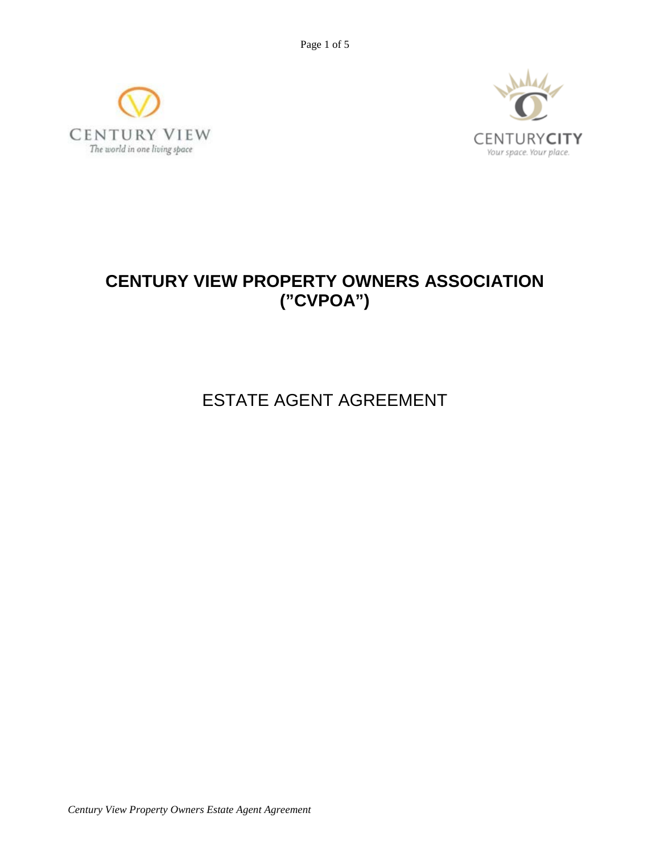Page 1 of 5





# **CENTURY VIEW PROPERTY OWNERS ASSOCIATION ("CVPOA")**

ESTATE AGENT AGREEMENT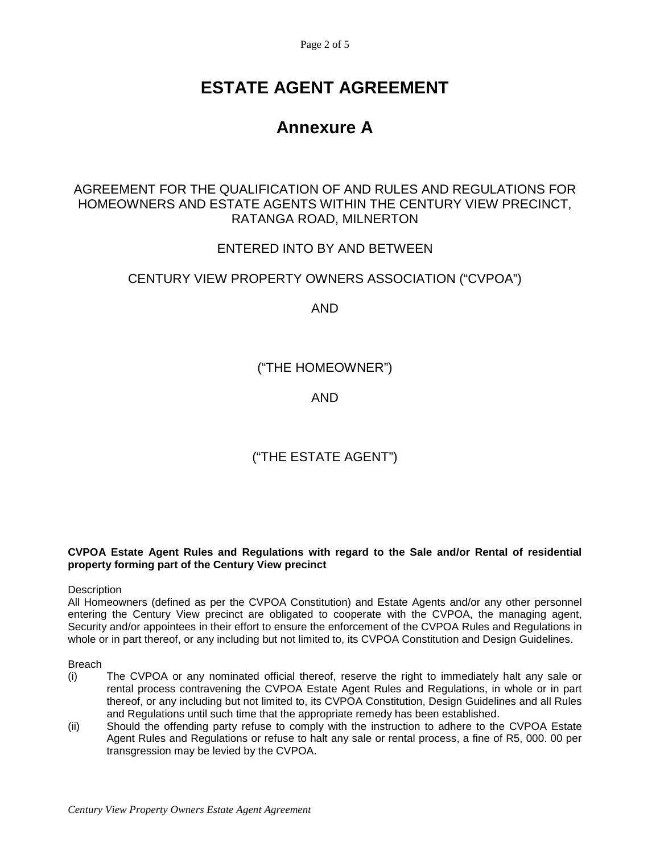Page 2 of 5

# **ESTATE AGENT AGREEMENT**

# **Annexure A**

### AGREEMENT FOR THE QUALIFICATION OF AND RULES AND REGULATIONS FOR HOMEOWNERS AND ESTATE AGENTS WITHIN THE CENTURY VIEW PRECINCT, RATANGA ROAD, MILNERTON

## ENTERED INTO BY AND BETWEEN

## CENTURY VIEW PROPERTY OWNERS ASSOCIATION ("CVPOA")

AND

("THE HOMEOWNER")

AND

# ("THE ESTATE AGENT")

**CVPOA Estate Agent Rules and Regulations with regard to the Sale and/or Rental of residential property forming part of the Century View precinct**

#### **Description**

All Homeowners (defined as per the CVPOA Constitution) and Estate Agents and/or any other personnel entering the Century View precinct are obligated to cooperate with the CVPOA, the managing agent, Security and/or appointees in their effort to ensure the enforcement of the CVPOA Rules and Regulations in whole or in part thereof, or any including but not limited to, its CVPOA Constitution and Design Guidelines.

Breach

- (i) The CVPOA or any nominated official thereof, reserve the right to immediately halt any sale or rental process contravening the CVPOA Estate Agent Rules and Regulations, in whole or in part thereof, or any including but not limited to, its CVPOA Constitution, Design Guidelines and all Rules and Regulations until such time that the appropriate remedy has been established.
- (ii) Should the offending party refuse to comply with the instruction to adhere to the CVPOA Estate Agent Rules and Regulations or refuse to halt any sale or rental process, a fine of R5, 000. 00 per transgression may be levied by the CVPOA.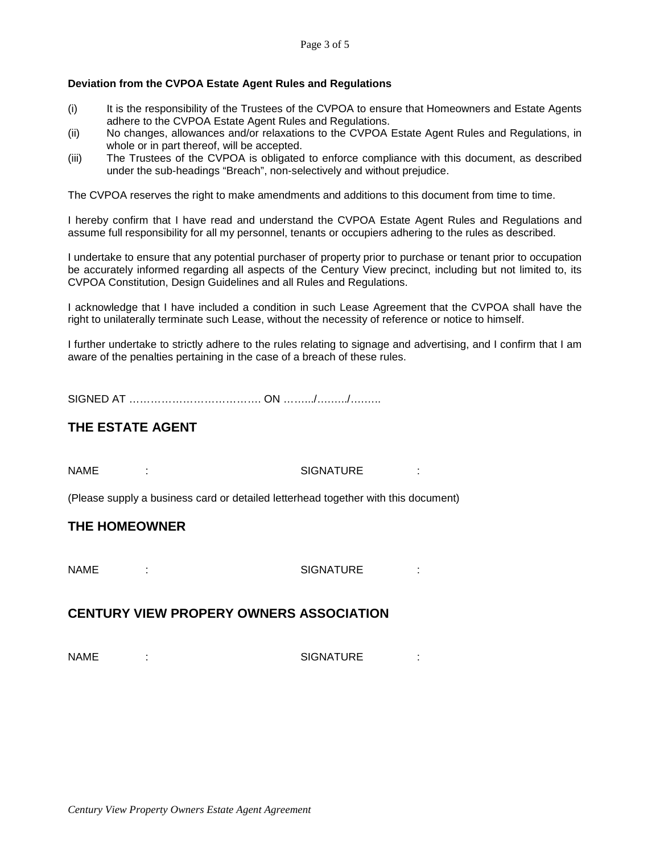### **Deviation from the CVPOA Estate Agent Rules and Regulations**

- (i) It is the responsibility of the Trustees of the CVPOA to ensure that Homeowners and Estate Agents adhere to the CVPOA Estate Agent Rules and Regulations.
- (ii) No changes, allowances and/or relaxations to the CVPOA Estate Agent Rules and Regulations, in whole or in part thereof, will be accepted.
- (iii) The Trustees of the CVPOA is obligated to enforce compliance with this document, as described under the sub-headings "Breach", non-selectively and without prejudice.

The CVPOA reserves the right to make amendments and additions to this document from time to time.

I hereby confirm that I have read and understand the CVPOA Estate Agent Rules and Regulations and assume full responsibility for all my personnel, tenants or occupiers adhering to the rules as described.

I undertake to ensure that any potential purchaser of property prior to purchase or tenant prior to occupation be accurately informed regarding all aspects of the Century View precinct, including but not limited to, its CVPOA Constitution, Design Guidelines and all Rules and Regulations.

I acknowledge that I have included a condition in such Lease Agreement that the CVPOA shall have the right to unilaterally terminate such Lease, without the necessity of reference or notice to himself.

I further undertake to strictly adhere to the rules relating to signage and advertising, and I confirm that I am aware of the penalties pertaining in the case of a breach of these rules.

SIGNED AT ………………………………… ON ………/………/………

## **THE ESTATE AGENT**

NAME : SIGNATURE :

(Please supply a business card or detailed letterhead together with this document)

### **THE HOMEOWNER**

NAME : SIGNATURE :

### **CENTURY VIEW PROPERY OWNERS ASSOCIATION**

NAME :  $\qquad \qquad \text{SIGNATURE} \qquad \qquad \cdot$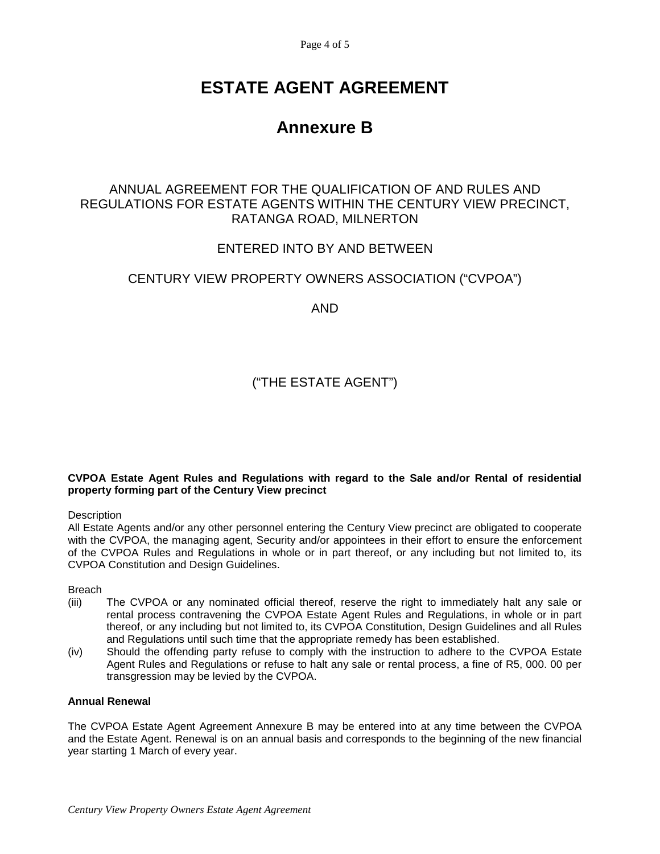Page 4 of 5

# **ESTATE AGENT AGREEMENT**

# **Annexure B**

## ANNUAL AGREEMENT FOR THE QUALIFICATION OF AND RULES AND REGULATIONS FOR ESTATE AGENTS WITHIN THE CENTURY VIEW PRECINCT, RATANGA ROAD, MILNERTON

## ENTERED INTO BY AND BETWEEN

## CENTURY VIEW PROPERTY OWNERS ASSOCIATION ("CVPOA")

AND

# ("THE ESTATE AGENT")

#### **CVPOA Estate Agent Rules and Regulations with regard to the Sale and/or Rental of residential property forming part of the Century View precinct**

### **Description**

All Estate Agents and/or any other personnel entering the Century View precinct are obligated to cooperate with the CVPOA, the managing agent, Security and/or appointees in their effort to ensure the enforcement of the CVPOA Rules and Regulations in whole or in part thereof, or any including but not limited to, its CVPOA Constitution and Design Guidelines.

Breach

- (iii) The CVPOA or any nominated official thereof, reserve the right to immediately halt any sale or rental process contravening the CVPOA Estate Agent Rules and Regulations, in whole or in part thereof, or any including but not limited to, its CVPOA Constitution, Design Guidelines and all Rules and Regulations until such time that the appropriate remedy has been established.
- (iv) Should the offending party refuse to comply with the instruction to adhere to the CVPOA Estate Agent Rules and Regulations or refuse to halt any sale or rental process, a fine of R5, 000. 00 per transgression may be levied by the CVPOA.

### **Annual Renewal**

The CVPOA Estate Agent Agreement Annexure B may be entered into at any time between the CVPOA and the Estate Agent. Renewal is on an annual basis and corresponds to the beginning of the new financial year starting 1 March of every year.